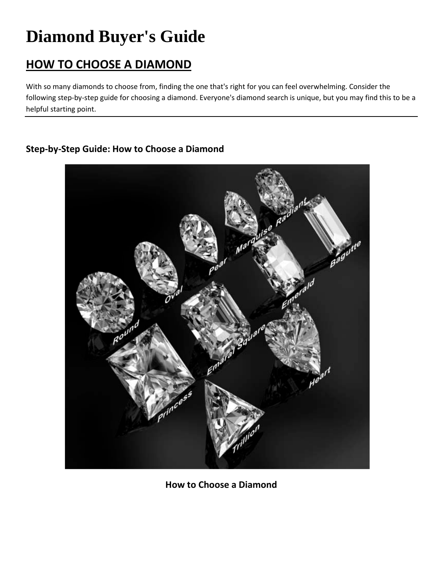# **Diamond Buyer's Guide**

# **HOW TO CHOOSE A DIAMOND**

With so many diamonds to choose from, finding the one that's right for you can feel overwhelming. Consider the following step-by-step guide for choosing a diamond. Everyone's diamond search is unique, but you may find this to be a helpful starting point.

# **Step-by-Step Guide: How to Choose a Diamond**



**How to Choose a Diamond**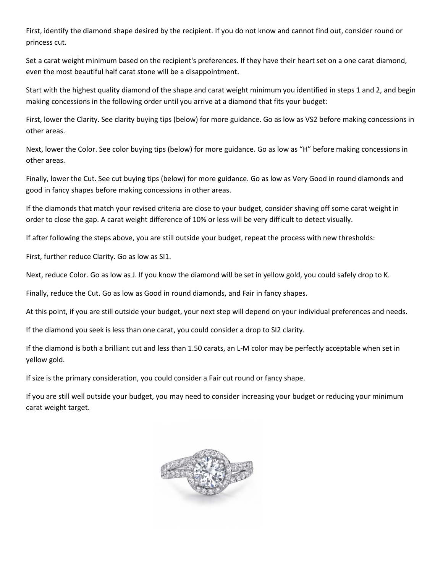First, identify the diamond shape desired by the recipient. If you do not know and cannot find out, consider round or princess cut.

Set a carat weight minimum based on the recipient's preferences. If they have their heart set on a one carat diamond, even the most beautiful half carat stone will be a disappointment.

Start with the highest quality diamond of the shape and carat weight minimum you identified in steps 1 and 2, and begin making concessions in the following order until you arrive at a diamond that fits your budget:

First, lower the Clarity. See clarity buying tips (below) for more guidance. Go as low as VS2 before making concessions in other areas.

Next, lower the Color. See color buying tips (below) for more guidance. Go as low as "H" before making concessions in other areas.

Finally, lower the Cut. See cut buying tips (below) for more guidance. Go as low as Very Good in round diamonds and good in fancy shapes before making concessions in other areas.

If the diamonds that match your revised criteria are close to your budget, consider shaving off some carat weight in order to close the gap. A carat weight difference of 10% or less will be very difficult to detect visually.

If after following the steps above, you are still outside your budget, repeat the process with new thresholds:

First, further reduce Clarity. Go as low as SI1.

Next, reduce Color. Go as low as J. If you know the diamond will be set in yellow gold, you could safely drop to K.

Finally, reduce the Cut. Go as low as Good in round diamonds, and Fair in fancy shapes.

At this point, if you are still outside your budget, your next step will depend on your individual preferences and needs.

If the diamond you seek is less than one carat, you could consider a drop to SI2 clarity.

If the diamond is both a brilliant cut and less than 1.50 carats, an L-M color may be perfectly acceptable when set in yellow gold.

If size is the primary consideration, you could consider a Fair cut round or fancy shape.

If you are still well outside your budget, you may need to consider increasing your budget or reducing your minimum carat weight target.

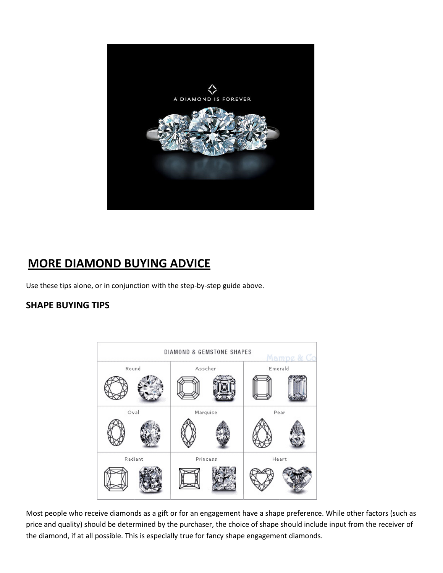

# **MORE DIAMOND BUYING ADVICE**

Use these tips alone, or in conjunction with the step-by-step guide above.

# **SHAPE BUYING TIPS**



Most people who receive diamonds as a gift or for an engagement have a shape preference. While other factors (such as price and quality) should be determined by the purchaser, the choice of shape should include input from the receiver of the diamond, if at all possible. This is especially true for fancy shape engagement diamonds.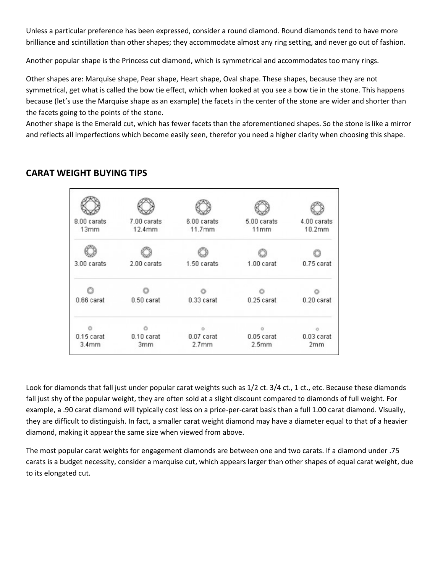Unless a particular preference has been expressed, consider a round diamond. Round diamonds tend to have more brilliance and scintillation than other shapes; they accommodate almost any ring setting, and never go out of fashion.

Another popular shape is the Princess cut diamond, which is symmetrical and accommodates too many rings.

Other shapes are: Marquise shape, Pear shape, Heart shape, Oval shape. These shapes, because they are not symmetrical, get what is called the bow tie effect, which when looked at you see a bow tie in the stone. This happens because (let's use the Marquise shape as an example) the facets in the center of the stone are wider and shorter than the facets going to the points of the stone.

Another shape is the Emerald cut, which has fewer facets than the aforementioned shapes. So the stone is like a mirror and reflects all imperfections which become easily seen, therefor you need a higher clarity when choosing this shape.

### **CARAT WEIGHT BUYING TIPS**

| 8.00 carats<br>13mm   | 7.00 carats<br>12.4mm | 6.00 carats<br>11.7mm           | 5.00 carats<br>11mm               | 4.00 carats<br>10.2mm |
|-----------------------|-----------------------|---------------------------------|-----------------------------------|-----------------------|
|                       |                       |                                 |                                   |                       |
| 3.00 carats           | 2.00 carats           | 1.50 carats                     | 1.00 carat                        | 0.75 carat            |
|                       |                       |                                 |                                   |                       |
| 0.66 carat            | 0.50 carat            | 0.33 carat                      | $0.25$ carat                      | 0.20 carat            |
|                       |                       |                                 |                                   |                       |
| $0.15$ carat<br>3.4mm | $0.10$ carat<br>3mm   | 0.07 carat<br>2.7 <sub>mm</sub> | $0.05$ carat<br>2.5 <sub>mm</sub> | $0.03$ carat<br>2mm   |

Look for diamonds that fall just under popular carat weights such as 1/2 ct. 3/4 ct., 1 ct., etc. Because these diamonds fall just shy of the popular weight, they are often sold at a slight discount compared to diamonds of full weight. For example, a .90 carat diamond will typically cost less on a price-per-carat basis than a full 1.00 carat diamond. Visually, they are difficult to distinguish. In fact, a smaller carat weight diamond may have a diameter equal to that of a heavier diamond, making it appear the same size when viewed from above.

The most popular carat weights for engagement diamonds are between one and two carats. If a diamond under .75 carats is a budget necessity, consider a marquise cut, which appears larger than other shapes of equal carat weight, due to its elongated cut.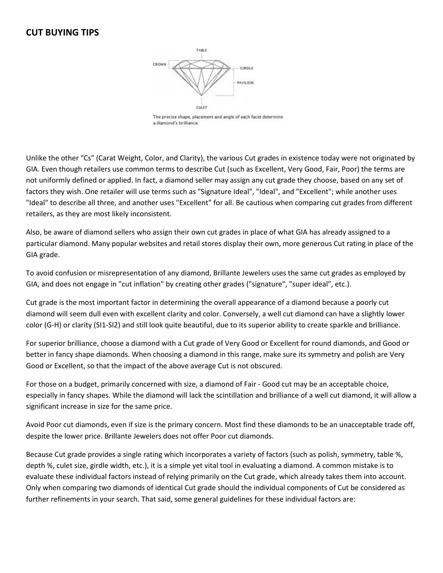#### **CUT BUYING TIPS**



The precise shape, placement and angle of each facet determine a diamond's brilliance.

Unlike the other "Cs" (Carat Weight, Color, and Clarity), the various Cut grades in existence today were not originated by GIA. Even though retailers use common terms to describe Cut (such as Excellent, Very Good, Fair, Poor) the terms are not uniformly defined or applied. In fact, a diamond seller may assign any cut grade they choose, based on any set of factors they wish. One retailer will use terms such as "Signature Ideal", "Ideal", and "Excellent"; while another uses "Ideal" to describe all three, and another uses "Excellent" for all. Be cautious when comparing cut grades from different retailers, as they are most likely inconsistent.

Also, be aware of diamond sellers who assign their own cut grades in place of what GIA has already assigned to a particular diamond. Many popular websites and retail stores display their own, more generous Cut rating in place of the GIA grade.

To avoid confusion or misrepresentation of any diamond, Brillante Jewelers uses the same cut grades as employed by GIA, and does not engage in "cut inflation" by creating other grades ("signature", "super ideal", etc.).

Cut grade is the most important factor in determining the overall appearance of a diamond because a poorly cut diamond will seem dull even with excellent clarity and color. Conversely, a well cut diamond can have a slightly lower color (G-H) or clarity (SI1-SI2) and still look quite beautiful, due to its superior ability to create sparkle and brilliance.

For superior brilliance, choose a diamond with a Cut grade of Very Good or Excellent for round diamonds, and Good or better in fancy shape diamonds. When choosing a diamond in this range, make sure its symmetry and polish are Very Good or Excellent, so that the impact of the above average Cut is not obscured.

For those on a budget, primarily concerned with size, a diamond of Fair - Good cut may be an acceptable choice, especially in fancy shapes. While the diamond will lack the scintillation and brilliance of a well cut diamond, it will allow a significant increase in size for the same price.

Avoid Poor cut diamonds, even if size is the primary concern. Most find these diamonds to be an unacceptable trade off, despite the lower price. Brillante Jewelers does not offer Poor cut diamonds.

Because Cut grade provides a single rating which incorporates a variety of factors (such as polish, symmetry, table %, depth %, culet size, girdle width, etc.), it is a simple yet vital tool in evaluating a diamond. A common mistake is to evaluate these individual factors instead of relying primarily on the Cut grade, which already takes them into account. Only when comparing two diamonds of identical Cut grade should the individual components of Cut be considered as further refinements in your search. That said, some general guidelines for these individual factors are: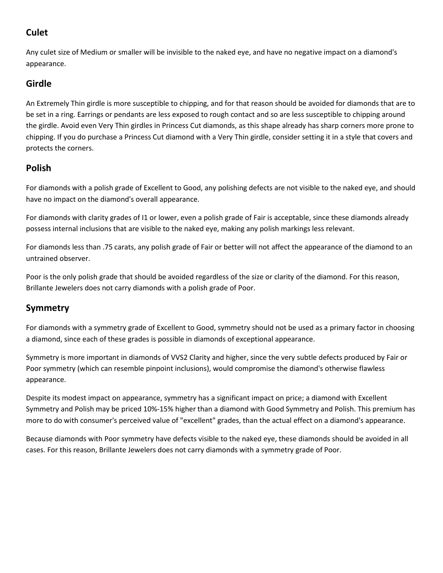# **Culet**

Any culet size of Medium or smaller will be invisible to the naked eye, and have no negative impact on a diamond's appearance.

# **Girdle**

An Extremely Thin girdle is more susceptible to chipping, and for that reason should be avoided for diamonds that are to be set in a ring. Earrings or pendants are less exposed to rough contact and so are less susceptible to chipping around the girdle. Avoid even Very Thin girdles in Princess Cut diamonds, as this shape already has sharp corners more prone to chipping. If you do purchase a Princess Cut diamond with a Very Thin girdle, consider setting it in a style that covers and protects the corners.

# **Polish**

For diamonds with a polish grade of Excellent to Good, any polishing defects are not visible to the naked eye, and should have no impact on the diamond's overall appearance.

For diamonds with clarity grades of I1 or lower, even a polish grade of Fair is acceptable, since these diamonds already possess internal inclusions that are visible to the naked eye, making any polish markings less relevant.

For diamonds less than .75 carats, any polish grade of Fair or better will not affect the appearance of the diamond to an untrained observer.

Poor is the only polish grade that should be avoided regardless of the size or clarity of the diamond. For this reason, Brillante Jewelers does not carry diamonds with a polish grade of Poor.

# **Symmetry**

For diamonds with a symmetry grade of Excellent to Good, symmetry should not be used as a primary factor in choosing a diamond, since each of these grades is possible in diamonds of exceptional appearance.

Symmetry is more important in diamonds of VVS2 Clarity and higher, since the very subtle defects produced by Fair or Poor symmetry (which can resemble pinpoint inclusions), would compromise the diamond's otherwise flawless appearance.

Despite its modest impact on appearance, symmetry has a significant impact on price; a diamond with Excellent Symmetry and Polish may be priced 10%-15% higher than a diamond with Good Symmetry and Polish. This premium has more to do with consumer's perceived value of "excellent" grades, than the actual effect on a diamond's appearance.

Because diamonds with Poor symmetry have defects visible to the naked eye, these diamonds should be avoided in all cases. For this reason, Brillante Jewelers does not carry diamonds with a symmetry grade of Poor.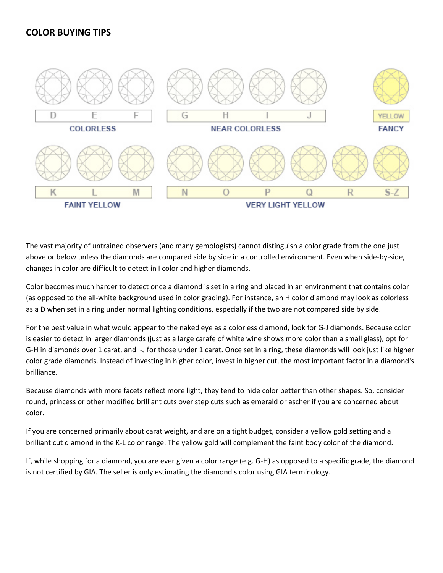## **COLOR BUYING TIPS**



The vast majority of untrained observers (and many gemologists) cannot distinguish a color grade from the one just above or below unless the diamonds are compared side by side in a controlled environment. Even when side-by-side, changes in color are difficult to detect in I color and higher diamonds.

Color becomes much harder to detect once a diamond is set in a ring and placed in an environment that contains color (as opposed to the all-white background used in color grading). For instance, an H color diamond may look as colorless as a D when set in a ring under normal lighting conditions, especially if the two are not compared side by side.

For the best value in what would appear to the naked eye as a colorless diamond, look for G-J diamonds. Because color is easier to detect in larger diamonds (just as a large carafe of white wine shows more color than a small glass), opt for G-H in diamonds over 1 carat, and I-J for those under 1 carat. Once set in a ring, these diamonds will look just like higher color grade diamonds. Instead of investing in higher color, invest in higher cut, the most important factor in a diamond's brilliance.

Because diamonds with more facets reflect more light, they tend to hide color better than other shapes. So, consider round, princess or other modified brilliant cuts over step cuts such as emerald or ascher if you are concerned about color.

If you are concerned primarily about carat weight, and are on a tight budget, consider a yellow gold setting and a brilliant cut diamond in the K-L color range. The yellow gold will complement the faint body color of the diamond.

If, while shopping for a diamond, you are ever given a color range (e.g. G-H) as opposed to a specific grade, the diamond is not certified by GIA. The seller is only estimating the diamond's color using GIA terminology.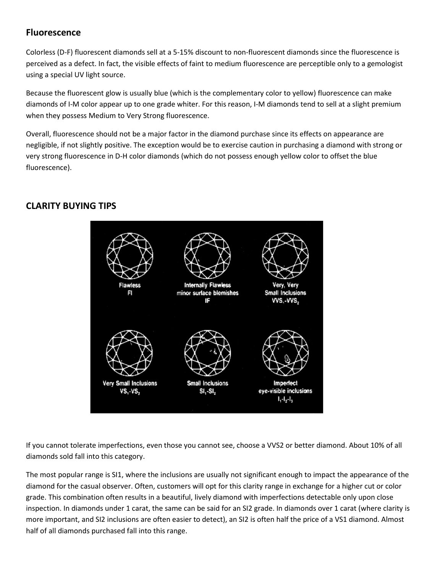## **Fluorescence**

Colorless (D-F) fluorescent diamonds sell at a 5-15% discount to non-fluorescent diamonds since the fluorescence is perceived as a defect. In fact, the visible effects of faint to medium fluorescence are perceptible only to a gemologist using a special UV light source.

Because the fluorescent glow is usually blue (which is the complementary color to yellow) fluorescence can make diamonds of I-M color appear up to one grade whiter. For this reason, I-M diamonds tend to sell at a slight premium when they possess Medium to Very Strong fluorescence.

Overall, fluorescence should not be a major factor in the diamond purchase since its effects on appearance are negligible, if not slightly positive. The exception would be to exercise caution in purchasing a diamond with strong or very strong fluorescence in D-H color diamonds (which do not possess enough yellow color to offset the blue fluorescence).

# **CLARITY BUYING TIPS**



If you cannot tolerate imperfections, even those you cannot see, choose a VVS2 or better diamond. About 10% of all diamonds sold fall into this category.

The most popular range is SI1, where the inclusions are usually not significant enough to impact the appearance of the diamond for the casual observer. Often, customers will opt for this clarity range in exchange for a higher cut or color grade. This combination often results in a beautiful, lively diamond with imperfections detectable only upon close inspection. In diamonds under 1 carat, the same can be said for an SI2 grade. In diamonds over 1 carat (where clarity is more important, and SI2 inclusions are often easier to detect), an SI2 is often half the price of a VS1 diamond. Almost half of all diamonds purchased fall into this range.